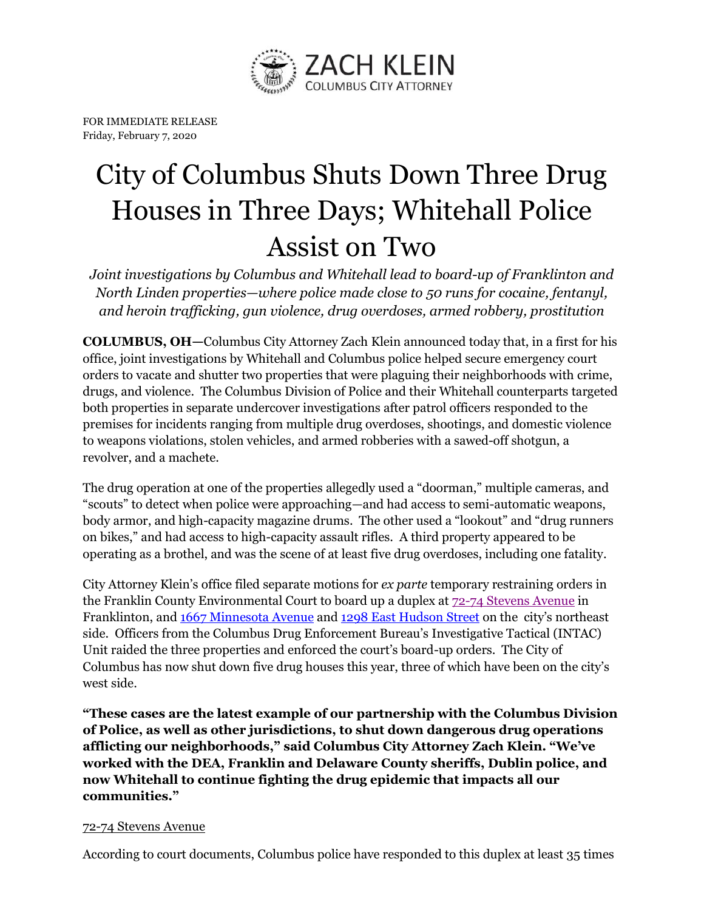

FOR IMMEDIATE RELEASE Friday, February 7, 2020

## City of Columbus Shuts Down Three Drug Houses in Three Days; Whitehall Police Assist on Two

*Joint investigations by Columbus and Whitehall lead to board-up of Franklinton and North Linden properties—where police made close to 50 runs for cocaine, fentanyl, and heroin trafficking, gun violence, drug overdoses, armed robbery, prostitution*

**COLUMBUS, OH—**Columbus City Attorney Zach Klein announced today that, in a first for his office, joint investigations by Whitehall and Columbus police helped secure emergency court orders to vacate and shutter two properties that were plaguing their neighborhoods with crime, drugs, and violence. The Columbus Division of Police and their Whitehall counterparts targeted both properties in separate undercover investigations after patrol officers responded to the premises for incidents ranging from multiple drug overdoses, shootings, and domestic violence to weapons violations, stolen vehicles, and armed robberies with a sawed-off shotgun, a revolver, and a machete.

The drug operation at one of the properties allegedly used a "doorman," multiple cameras, and "scouts" to detect when police were approaching—and had access to semi-automatic weapons, body armor, and high-capacity magazine drums. The other used a "lookout" and "drug runners on bikes," and had access to high-capacity assault rifles. A third property appeared to be operating as a brothel, and was the scene of at least five drug overdoses, including one fatality.

City Attorney Klein's office filed separate motions for *ex parte* temporary restraining orders in the Franklin County Environmental Court to board up a duplex at [72-74 Stevens](https://www.google.com/maps/place/72+Stevens+Ave,+Columbus,+OH+43222/@39.9589204,-83.043256,17z/data=!3m1!4b1!4m5!3m4!1s0x88388fa17f13b423:0x87538bfa438266d5!8m2!3d39.9589204!4d-83.0410673) Avenue in Franklinton, and [1667 Minnesota](https://www.google.com/maps/place/1667+Minnesota+Ave,+Columbus,+OH+43211/@40.0182941,-82.972952,14.5z/data=!4m13!1m7!3m6!1s0x88388bdc07e70147:0x41998dc26f2619c4!2s1667+Minnesota+Ave,+Columbus,+OH+43211!3b1!8m2!3d40.0195722!4d-82.9663489!3m4!1s0x88388bdc07e70147:0x41998dc26f2619c4!8m2!3d40.0195722!4d-82.9663489) Avenue an[d 1298 East Hudson Street](https://www.google.com/maps/place/1298+E+Hudson+St,+Columbus,+OH+43211/@40.0170689,-82.9818821,15.5z/data=!4m13!1m7!3m6!1s0x8838895f63d857cd:0xa865775d9cfe19f7!2s1298+E+Hudson+St,+Columbus,+OH+43211!3b1!8m2!3d40.0141749!4d-82.9753363!3m4!1s0x8838895f63d857cd:0xa865775d9cfe19f7!8m2!3d40.0141749!4d-82.9753363) on the city's northeast side. Officers from the Columbus Drug Enforcement Bureau's Investigative Tactical (INTAC) Unit raided the three properties and enforced the court's board-up orders. The City of Columbus has now shut down five drug houses this year, three of which have been on the city's west side.

**"These cases are the latest example of our partnership with the Columbus Division of Police, as well as other jurisdictions, to shut down dangerous drug operations afflicting our neighborhoods," said Columbus City Attorney Zach Klein. "We've worked with the DEA, Franklin and Delaware County sheriffs, Dublin police, and now Whitehall to continue fighting the drug epidemic that impacts all our communities."**

## 72-74 Stevens Avenue

According to court documents, Columbus police have responded to this duplex at least 35 times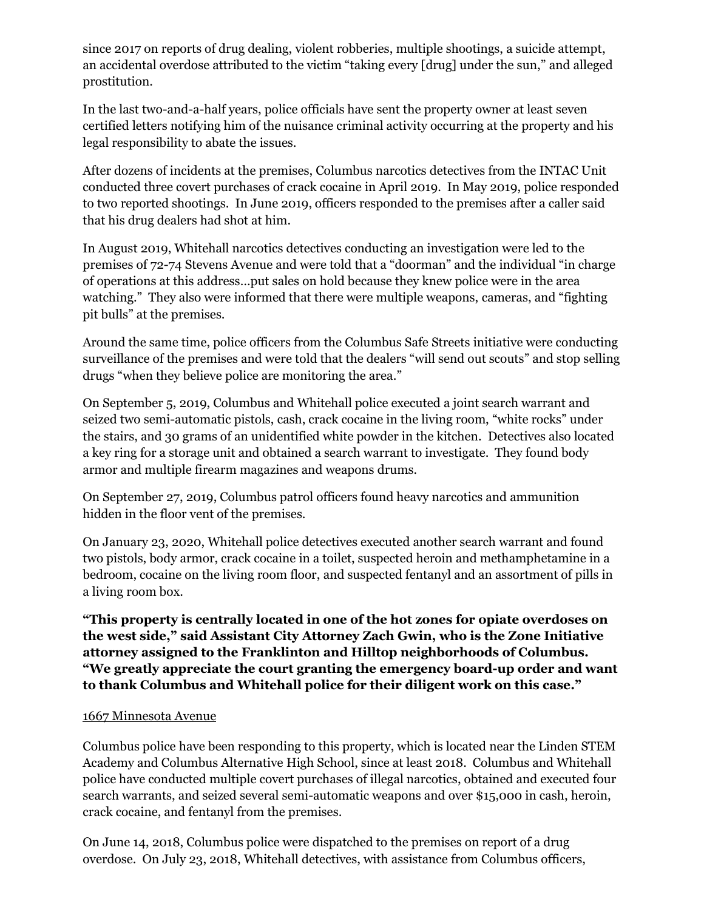since 2017 on reports of drug dealing, violent robberies, multiple shootings, a suicide attempt, an accidental overdose attributed to the victim "taking every [drug] under the sun," and alleged prostitution.

In the last two-and-a-half years, police officials have sent the property owner at least seven certified letters notifying him of the nuisance criminal activity occurring at the property and his legal responsibility to abate the issues.

After dozens of incidents at the premises, Columbus narcotics detectives from the INTAC Unit conducted three covert purchases of crack cocaine in April 2019. In May 2019, police responded to two reported shootings. In June 2019, officers responded to the premises after a caller said that his drug dealers had shot at him.

In August 2019, Whitehall narcotics detectives conducting an investigation were led to the premises of 72-74 Stevens Avenue and were told that a "doorman" and the individual "in charge of operations at this address…put sales on hold because they knew police were in the area watching." They also were informed that there were multiple weapons, cameras, and "fighting pit bulls" at the premises.

Around the same time, police officers from the Columbus Safe Streets initiative were conducting surveillance of the premises and were told that the dealers "will send out scouts" and stop selling drugs "when they believe police are monitoring the area."

On September 5, 2019, Columbus and Whitehall police executed a joint search warrant and seized two semi-automatic pistols, cash, crack cocaine in the living room, "white rocks" under the stairs, and 30 grams of an unidentified white powder in the kitchen. Detectives also located a key ring for a storage unit and obtained a search warrant to investigate. They found body armor and multiple firearm magazines and weapons drums.

On September 27, 2019, Columbus patrol officers found heavy narcotics and ammunition hidden in the floor vent of the premises.

On January 23, 2020, Whitehall police detectives executed another search warrant and found two pistols, body armor, crack cocaine in a toilet, suspected heroin and methamphetamine in a bedroom, cocaine on the living room floor, and suspected fentanyl and an assortment of pills in a living room box.

**"This property is centrally located in one of the hot zones for opiate overdoses on the west side," said Assistant City Attorney Zach Gwin, who is the Zone Initiative attorney assigned to the Franklinton and Hilltop neighborhoods of Columbus. "We greatly appreciate the court granting the emergency board-up order and want to thank Columbus and Whitehall police for their diligent work on this case."**

## 1667 Minnesota Avenue

Columbus police have been responding to this property, which is located near the Linden STEM Academy and Columbus Alternative High School, since at least 2018. Columbus and Whitehall police have conducted multiple covert purchases of illegal narcotics, obtained and executed four search warrants, and seized several semi-automatic weapons and over \$15,000 in cash, heroin, crack cocaine, and fentanyl from the premises.

On June 14, 2018, Columbus police were dispatched to the premises on report of a drug overdose. On July 23, 2018, Whitehall detectives, with assistance from Columbus officers,